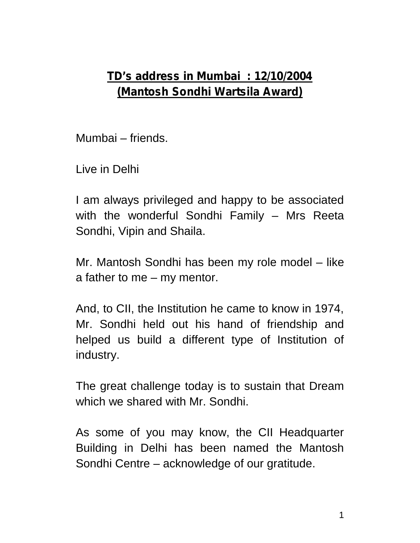## **TD's address in Mumbai : 12/10/2004 (Mantosh Sondhi Wartsila Award)**

Mumbai – friends.

Live in Delhi

I am always privileged and happy to be associated with the wonderful Sondhi Family – Mrs Reeta Sondhi, Vipin and Shaila.

Mr. Mantosh Sondhi has been my role model – like a father to me – my mentor.

And, to CII, the Institution he came to know in 1974, Mr. Sondhi held out his hand of friendship and helped us build a different type of Institution of industry.

The great challenge today is to sustain that Dream which we shared with Mr. Sondhi.

As some of you may know, the CII Headquarter Building in Delhi has been named the Mantosh Sondhi Centre – acknowledge of our gratitude.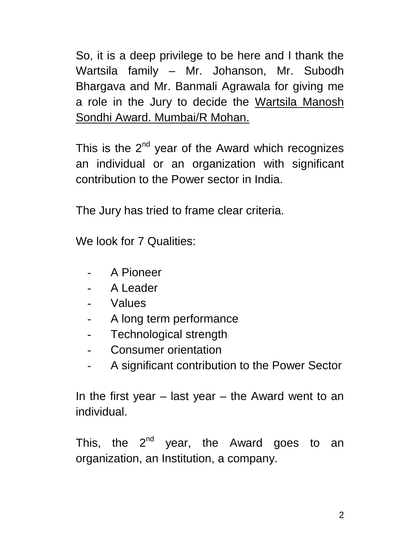So, it is a deep privilege to be here and I thank the Wartsila family – Mr. Johanson, Mr. Subodh Bhargava and Mr. Banmali Agrawala for giving me a role in the Jury to decide the Wartsila Manosh Sondhi Award. Mumbai/R Mohan.

This is the  $2^{nd}$  year of the Award which recognizes an individual or an organization with significant contribution to the Power sector in India.

The Jury has tried to frame clear criteria.

We look for 7 Qualities:

- A Pioneer
- A Leader
- **Values**
- A long term performance
- Technological strength
- Consumer orientation
- A significant contribution to the Power Sector

In the first year  $-$  last year  $-$  the Award went to an individual.

This, the  $2^{nd}$  year, the Award goes to an organization, an Institution, a company.